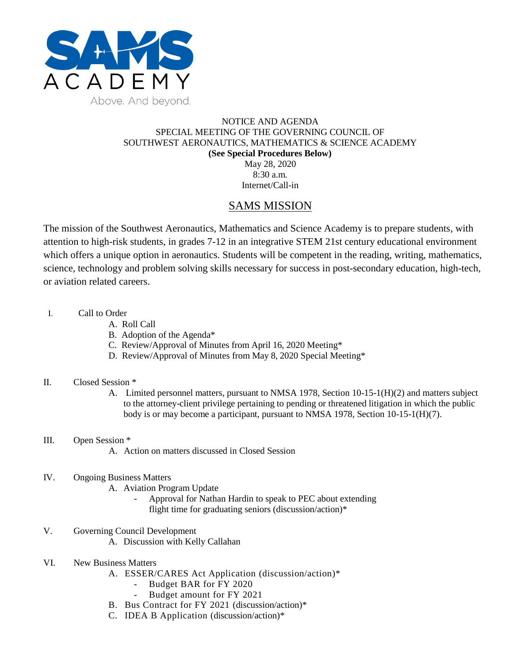

#### NOTICE AND AGENDA SPECIAL MEETING OF THE GOVERNING COUNCIL OF SOUTHWEST AERONAUTICS, MATHEMATICS & SCIENCE ACADEMY **(See Special Procedures Below)** May 28, 2020 8:30 a.m.

Internet/Call-in

# SAMS MISSION

The mission of the Southwest Aeronautics, Mathematics and Science Academy is to prepare students, with attention to high-risk students, in grades 7-12 in an integrative STEM 21st century educational environment which offers a unique option in aeronautics. Students will be competent in the reading, writing, mathematics, science, technology and problem solving skills necessary for success in post-secondary education, high-tech, or aviation related careers.

- I. Call to Order
	- A. Roll Call
	- B. Adoption of the Agenda\*
	- C. Review/Approval of Minutes from April 16, 2020 Meeting\*
	- D. Review/Approval of Minutes from May 8, 2020 Special Meeting\*

### II. Closed Session \*

- A. Limited personnel matters, pursuant to NMSA 1978, Section 10-15-1(H)(2) and matters subject to the attorney-client privilege pertaining to pending or threatened litigation in which the public body is or may become a participant, pursuant to NMSA 1978, Section 10-15-1(H)(7).
- III. Open Session \*
	- A. Action on matters discussed in Closed Session

### IV. Ongoing Business Matters

- A. Aviation Program Update
	- Approval for Nathan Hardin to speak to PEC about extending flight time for graduating seniors (discussion/action)\*
- V. Governing Council Development A. Discussion with Kelly Callahan
- VI. New Business Matters
	- A. ESSER/CARES Act Application (discussion/action)\*
		- Budget BAR for FY 2020
		- Budget amount for FY 2021
	- B. Bus Contract for FY 2021 (discussion/action)\*
	- C. IDEA B Application (discussion/action)\*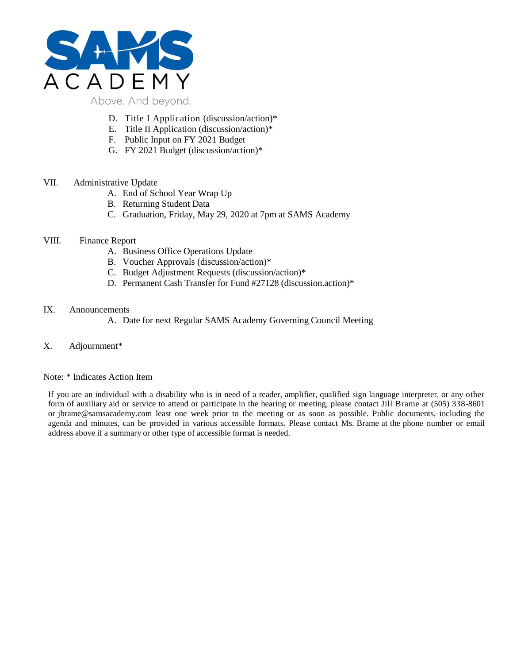

- D. Title I Application (discussion/action)\*
- E. Title II Application (discussion/action)\*
- F. Public Input on FY 2021 Budget
- G. FY 2021 Budget (discussion/action)\*

#### VII. Administrative Update

- A. End of School Year Wrap Up
- B. Returning Student Data
- C. Graduation, Friday, May 29, 2020 at 7pm at SAMS Academy

#### VIII. Finance Report

- A. Business Office Operations Update
- B. Voucher Approvals (discussion/action)\*
- C. Budget Adjustment Requests (discussion/action)\*
- D. Permanent Cash Transfer for Fund #27128 (discussion.action)\*

#### IX. Announcements

- A. Date for next Regular SAMS Academy Governing Council Meeting
- X. Adjournment\*

#### Note: \* Indicates Action Item

If you are an individual with a disability who is in need of a reader, amplifier, qualified sign language interpreter, or any other form of auxiliary aid or service to attend or participate in the hearing or meeting, please contact Jill Brame at (505) 338-8601 or jbrame@samsacademy.com least one week prior to the meeting or as soon as possible. Public documents, including the agenda and minutes, can be provided in various accessible formats. Please contact Ms. Brame at the phone number or email address above if a summary or other type of accessible format is needed.